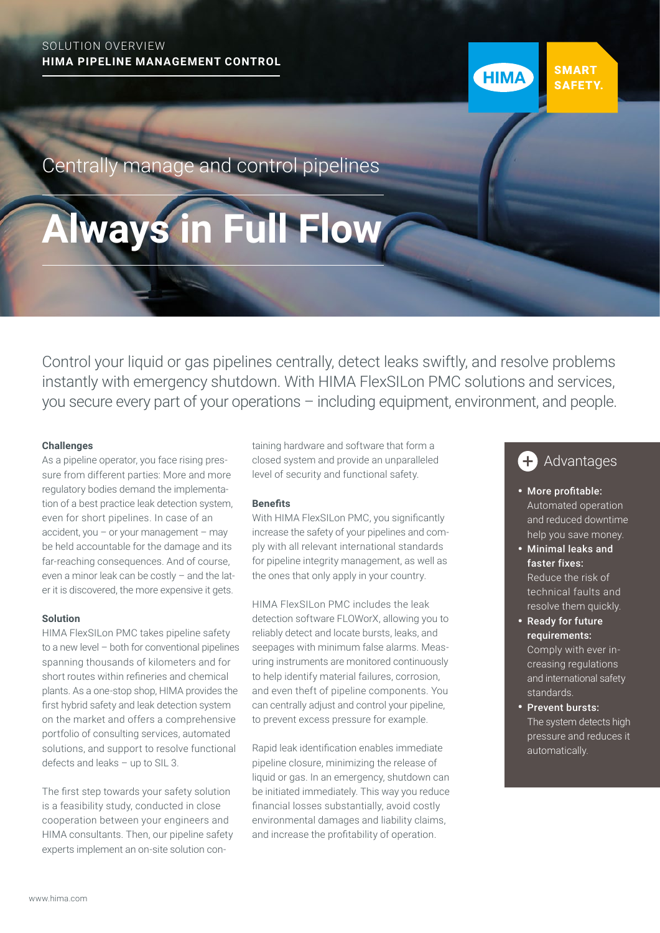# SOLUTION OVERVIEW **HIMA PIPELINE MANAGEMENT CONTROL**

Centrally manage and control pipelines

# **Always in Full Flow**

Control your liquid or gas pipelines centrally, detect leaks swiftly, and resolve problems instantly with emergency shutdown. With HIMA FlexSILon PMC solutions and services, you secure every part of your operations – including equipment, environment, and people.

### **Challenges**

As a pipeline operator, you face rising pressure from different parties: More and more regulatory bodies demand the implementation of a best practice leak detection system, even for short pipelines. In case of an accident, you  $-$  or your management  $-$  may be held accountable for the damage and its far-reaching consequences. And of course, even a minor leak can be costly – and the later it is discovered, the more expensive it gets.

### **Solution**

HIMA FlexSILon PMC takes pipeline safety to a new level – both for conventional pipelines spanning thousands of kilometers and for short routes within refineries and chemical plants. As a one-stop shop, HIMA provides the first hybrid safety and leak detection system on the market and offers a comprehensive portfolio of consulting services, automated solutions, and support to resolve functional defects and leaks – up to SIL 3.

The first step towards your safety solution is a feasibility study, conducted in close cooperation between your engineers and HIMA consultants. Then, our pipeline safety experts implement an on-site solution containing hardware and software that form a closed system and provide an unparalleled level of security and functional safety.

## **Benefits**

With HIMA FlexSILon PMC, you significantly increase the safety of your pipelines and comply with all relevant international standards for pipeline integrity management, as well as the ones that only apply in your country.

HIMA FlexSILon PMC includes the leak detection software FLOWorX, allowing you to reliably detect and locate bursts, leaks, and seepages with minimum false alarms. Measuring instruments are monitored continuously to help identify material failures, corrosion, and even theft of pipeline components. You can centrally adjust and control your pipeline, to prevent excess pressure for example.

Rapid leak identification enables immediate pipeline closure, minimizing the release of liquid or gas. In an emergency, shutdown can be initiated immediately. This way you reduce financial losses substantially, avoid costly environmental damages and liability claims, and increase the profitability of operation.

#### Advantages  $\pm$

**SMART** 

**SAFETY** 

**HIMA** 

- More profitable: Automated operation and reduced downtime help you save money.
- Minimal leaks and faster fixes: Reduce the risk of technical faults and resolve them quickly.
- Ready for future requirements: Comply with ever increasing regulations and international safety standards.
- Prevent bursts: The system detects high pressure and reduces it automatically.